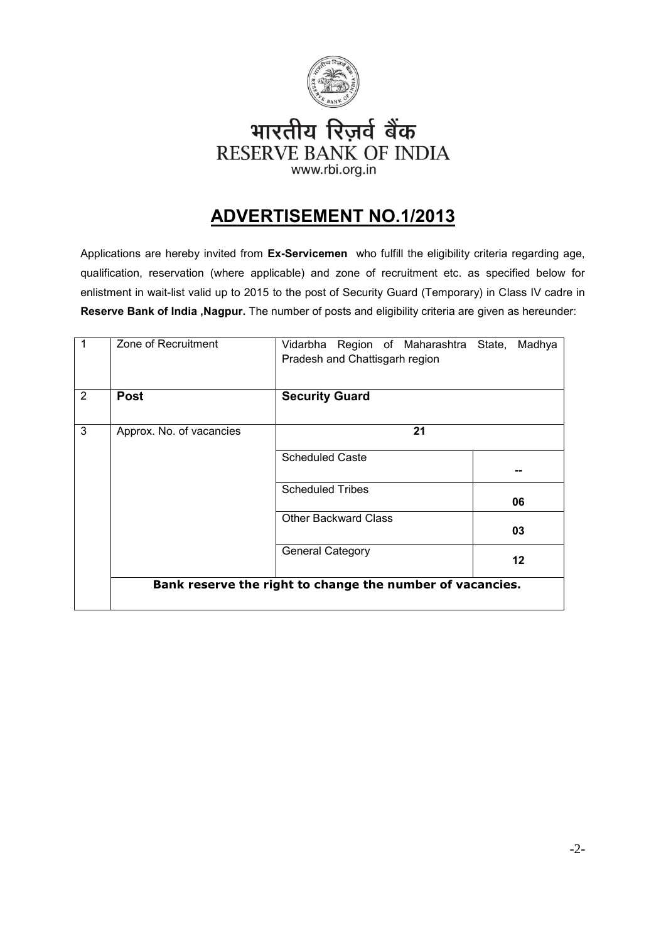

## भारतीय रिज़र्व बैंक **RESERVE BANK OF INDIA** www.rbi.org.in

# **ADVERTISEMENT NO.1/2013**

Applications are hereby invited from **Ex-Servicemen** who fulfill the eligibility criteria regarding age, qualification, reservation (where applicable) and zone of recruitment etc. as specified below for enlistment in wait-list valid up to 2015 to the post of Security Guard (Temporary) in Class IV cadre in **Reserve Bank of India ,Nagpur.** The number of posts and eligibility criteria are given as hereunder:

| $\overline{1}$ | Zone of Recruitment      | Vidarbha Region of Maharashtra State,<br>Madhya<br>Pradesh and Chattisgarh region |  |  |  |
|----------------|--------------------------|-----------------------------------------------------------------------------------|--|--|--|
| $\overline{2}$ | <b>Post</b>              | <b>Security Guard</b>                                                             |  |  |  |
| 3              | Approx. No. of vacancies | 21                                                                                |  |  |  |
|                |                          | <b>Scheduled Caste</b>                                                            |  |  |  |
|                |                          | <b>Scheduled Tribes</b><br>06                                                     |  |  |  |
|                |                          | <b>Other Backward Class</b><br>03                                                 |  |  |  |
|                |                          | <b>General Category</b><br>$12 \,$                                                |  |  |  |
|                |                          | Bank reserve the right to change the number of vacancies.                         |  |  |  |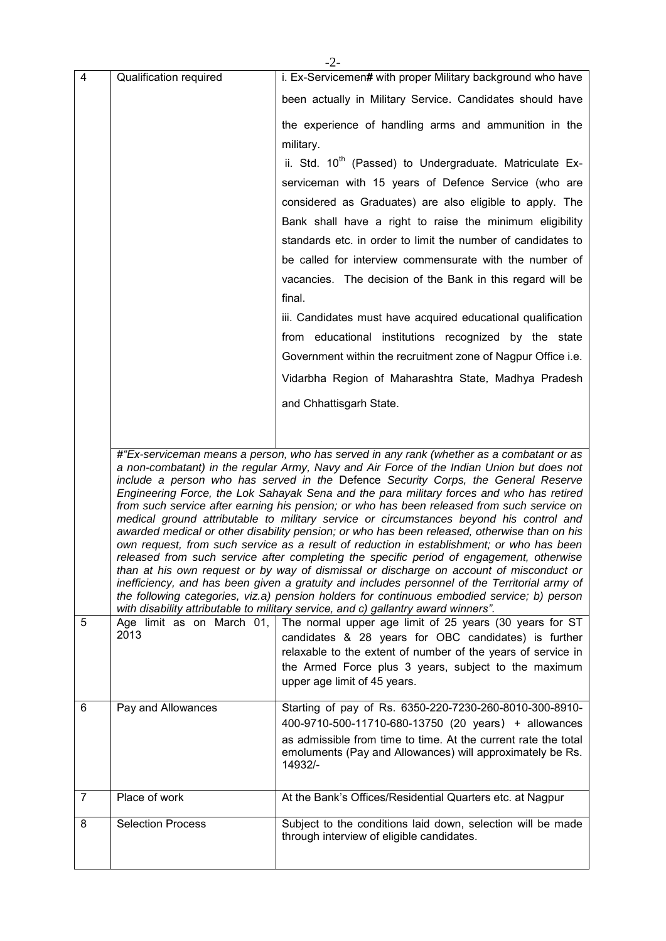|                |                           | -2-                                                                                                                                                                                                                                                                                                                                                                                                                                                                                                                                                                                                                                                                                                                                                                                                                                                                                                                                                                                                                                                                                                                                                                                                                                        |  |  |  |
|----------------|---------------------------|--------------------------------------------------------------------------------------------------------------------------------------------------------------------------------------------------------------------------------------------------------------------------------------------------------------------------------------------------------------------------------------------------------------------------------------------------------------------------------------------------------------------------------------------------------------------------------------------------------------------------------------------------------------------------------------------------------------------------------------------------------------------------------------------------------------------------------------------------------------------------------------------------------------------------------------------------------------------------------------------------------------------------------------------------------------------------------------------------------------------------------------------------------------------------------------------------------------------------------------------|--|--|--|
| 4              | Qualification required    | i. Ex-Servicemen# with proper Military background who have                                                                                                                                                                                                                                                                                                                                                                                                                                                                                                                                                                                                                                                                                                                                                                                                                                                                                                                                                                                                                                                                                                                                                                                 |  |  |  |
|                |                           | been actually in Military Service. Candidates should have                                                                                                                                                                                                                                                                                                                                                                                                                                                                                                                                                                                                                                                                                                                                                                                                                                                                                                                                                                                                                                                                                                                                                                                  |  |  |  |
|                |                           | the experience of handling arms and ammunition in the                                                                                                                                                                                                                                                                                                                                                                                                                                                                                                                                                                                                                                                                                                                                                                                                                                                                                                                                                                                                                                                                                                                                                                                      |  |  |  |
|                |                           | military.                                                                                                                                                                                                                                                                                                                                                                                                                                                                                                                                                                                                                                                                                                                                                                                                                                                                                                                                                                                                                                                                                                                                                                                                                                  |  |  |  |
|                |                           | ii. Std. 10 <sup>th</sup> (Passed) to Undergraduate. Matriculate Ex-                                                                                                                                                                                                                                                                                                                                                                                                                                                                                                                                                                                                                                                                                                                                                                                                                                                                                                                                                                                                                                                                                                                                                                       |  |  |  |
|                |                           | serviceman with 15 years of Defence Service (who are                                                                                                                                                                                                                                                                                                                                                                                                                                                                                                                                                                                                                                                                                                                                                                                                                                                                                                                                                                                                                                                                                                                                                                                       |  |  |  |
|                |                           | considered as Graduates) are also eligible to apply. The                                                                                                                                                                                                                                                                                                                                                                                                                                                                                                                                                                                                                                                                                                                                                                                                                                                                                                                                                                                                                                                                                                                                                                                   |  |  |  |
|                |                           | Bank shall have a right to raise the minimum eligibility                                                                                                                                                                                                                                                                                                                                                                                                                                                                                                                                                                                                                                                                                                                                                                                                                                                                                                                                                                                                                                                                                                                                                                                   |  |  |  |
|                |                           | standards etc. in order to limit the number of candidates to                                                                                                                                                                                                                                                                                                                                                                                                                                                                                                                                                                                                                                                                                                                                                                                                                                                                                                                                                                                                                                                                                                                                                                               |  |  |  |
|                |                           | be called for interview commensurate with the number of                                                                                                                                                                                                                                                                                                                                                                                                                                                                                                                                                                                                                                                                                                                                                                                                                                                                                                                                                                                                                                                                                                                                                                                    |  |  |  |
|                |                           | vacancies. The decision of the Bank in this regard will be<br>final.                                                                                                                                                                                                                                                                                                                                                                                                                                                                                                                                                                                                                                                                                                                                                                                                                                                                                                                                                                                                                                                                                                                                                                       |  |  |  |
|                |                           | iii. Candidates must have acquired educational qualification                                                                                                                                                                                                                                                                                                                                                                                                                                                                                                                                                                                                                                                                                                                                                                                                                                                                                                                                                                                                                                                                                                                                                                               |  |  |  |
|                |                           |                                                                                                                                                                                                                                                                                                                                                                                                                                                                                                                                                                                                                                                                                                                                                                                                                                                                                                                                                                                                                                                                                                                                                                                                                                            |  |  |  |
|                |                           | from educational institutions recognized by the state                                                                                                                                                                                                                                                                                                                                                                                                                                                                                                                                                                                                                                                                                                                                                                                                                                                                                                                                                                                                                                                                                                                                                                                      |  |  |  |
|                |                           | Government within the recruitment zone of Nagpur Office i.e.                                                                                                                                                                                                                                                                                                                                                                                                                                                                                                                                                                                                                                                                                                                                                                                                                                                                                                                                                                                                                                                                                                                                                                               |  |  |  |
|                |                           | Vidarbha Region of Maharashtra State, Madhya Pradesh                                                                                                                                                                                                                                                                                                                                                                                                                                                                                                                                                                                                                                                                                                                                                                                                                                                                                                                                                                                                                                                                                                                                                                                       |  |  |  |
|                |                           | and Chhattisgarh State.                                                                                                                                                                                                                                                                                                                                                                                                                                                                                                                                                                                                                                                                                                                                                                                                                                                                                                                                                                                                                                                                                                                                                                                                                    |  |  |  |
|                |                           |                                                                                                                                                                                                                                                                                                                                                                                                                                                                                                                                                                                                                                                                                                                                                                                                                                                                                                                                                                                                                                                                                                                                                                                                                                            |  |  |  |
|                |                           | #"Ex-serviceman means a person, who has served in any rank (whether as a combatant or as<br>a non-combatant) in the regular Army, Navy and Air Force of the Indian Union but does not<br>include a person who has served in the Defence Security Corps, the General Reserve<br>Engineering Force, the Lok Sahayak Sena and the para military forces and who has retired<br>from such service after earning his pension; or who has been released from such service on<br>medical ground attributable to military service or circumstances beyond his control and<br>awarded medical or other disability pension; or who has been released, otherwise than on his<br>own request, from such service as a result of reduction in establishment; or who has been<br>released from such service after completing the specific period of engagement, otherwise<br>than at his own request or by way of dismissal or discharge on account of misconduct or<br>inefficiency, and has been given a gratuity and includes personnel of the Territorial army of<br>the following categories, viz.a) pension holders for continuous embodied service; b) person<br>with disability attributable to military service, and c) gallantry award winners". |  |  |  |
| 5              | Age limit as on March 01, | The normal upper age limit of 25 years (30 years for ST                                                                                                                                                                                                                                                                                                                                                                                                                                                                                                                                                                                                                                                                                                                                                                                                                                                                                                                                                                                                                                                                                                                                                                                    |  |  |  |
|                | 2013                      | candidates & 28 years for OBC candidates) is further<br>relaxable to the extent of number of the years of service in<br>the Armed Force plus 3 years, subject to the maximum<br>upper age limit of 45 years.                                                                                                                                                                                                                                                                                                                                                                                                                                                                                                                                                                                                                                                                                                                                                                                                                                                                                                                                                                                                                               |  |  |  |
| 6              | Pay and Allowances        | Starting of pay of Rs. 6350-220-7230-260-8010-300-8910-                                                                                                                                                                                                                                                                                                                                                                                                                                                                                                                                                                                                                                                                                                                                                                                                                                                                                                                                                                                                                                                                                                                                                                                    |  |  |  |
|                |                           | 400-9710-500-11710-680-13750 (20 years) + allowances<br>as admissible from time to time. At the current rate the total<br>emoluments (Pay and Allowances) will approximately be Rs.<br>14932/-                                                                                                                                                                                                                                                                                                                                                                                                                                                                                                                                                                                                                                                                                                                                                                                                                                                                                                                                                                                                                                             |  |  |  |
| $\overline{7}$ | Place of work             | At the Bank's Offices/Residential Quarters etc. at Nagpur                                                                                                                                                                                                                                                                                                                                                                                                                                                                                                                                                                                                                                                                                                                                                                                                                                                                                                                                                                                                                                                                                                                                                                                  |  |  |  |
| 8              | Selection Process         | Subject to the conditions laid down, selection will be made<br>through interview of eligible candidates.                                                                                                                                                                                                                                                                                                                                                                                                                                                                                                                                                                                                                                                                                                                                                                                                                                                                                                                                                                                                                                                                                                                                   |  |  |  |
|                |                           |                                                                                                                                                                                                                                                                                                                                                                                                                                                                                                                                                                                                                                                                                                                                                                                                                                                                                                                                                                                                                                                                                                                                                                                                                                            |  |  |  |

-2-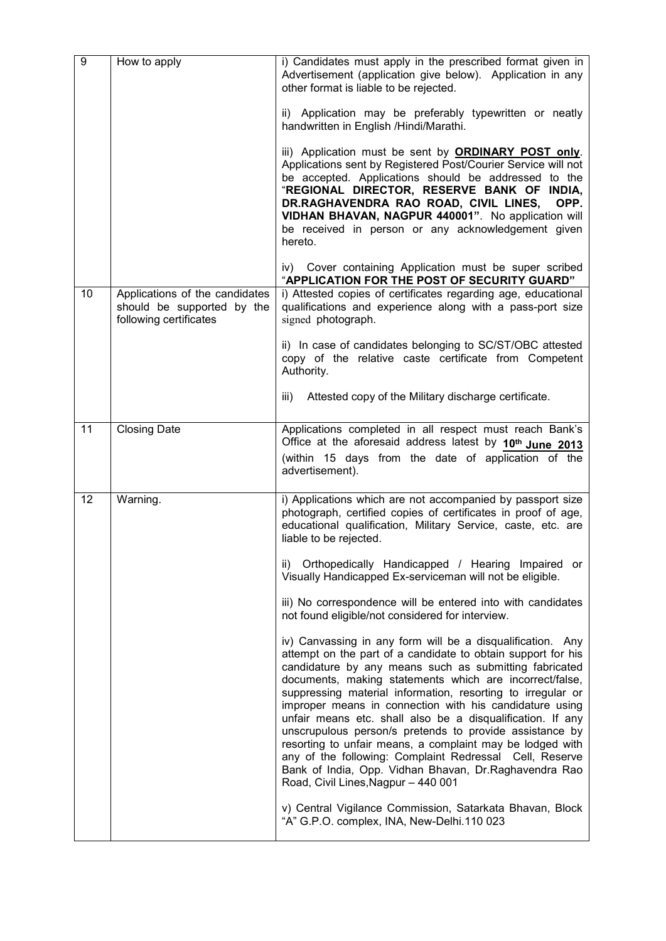| $\boldsymbol{9}$ | How to apply                                                                           | i) Candidates must apply in the prescribed format given in<br>Advertisement (application give below). Application in any<br>other format is liable to be rejected.                                                                                                                                                                                                                                                                                                                                                                                                                                                                                                                                                          |
|------------------|----------------------------------------------------------------------------------------|-----------------------------------------------------------------------------------------------------------------------------------------------------------------------------------------------------------------------------------------------------------------------------------------------------------------------------------------------------------------------------------------------------------------------------------------------------------------------------------------------------------------------------------------------------------------------------------------------------------------------------------------------------------------------------------------------------------------------------|
|                  |                                                                                        | ii) Application may be preferably typewritten or neatly<br>handwritten in English /Hindi/Marathi.                                                                                                                                                                                                                                                                                                                                                                                                                                                                                                                                                                                                                           |
|                  |                                                                                        | iii) Application must be sent by <b>ORDINARY POST only</b> .<br>Applications sent by Registered Post/Courier Service will not<br>be accepted. Applications should be addressed to the<br>"REGIONAL DIRECTOR, RESERVE BANK OF INDIA,<br>DR.RAGHAVENDRA RAO ROAD, CIVIL LINES,<br>OPP.<br>VIDHAN BHAVAN, NAGPUR 440001". No application will<br>be received in person or any acknowledgement given<br>hereto.                                                                                                                                                                                                                                                                                                                 |
|                  |                                                                                        | iv) Cover containing Application must be super scribed<br>"APPLICATION FOR THE POST OF SECURITY GUARD"                                                                                                                                                                                                                                                                                                                                                                                                                                                                                                                                                                                                                      |
| 10               | Applications of the candidates<br>should be supported by the<br>following certificates | i) Attested copies of certificates regarding age, educational<br>qualifications and experience along with a pass-port size<br>signed photograph.                                                                                                                                                                                                                                                                                                                                                                                                                                                                                                                                                                            |
|                  |                                                                                        | ii) In case of candidates belonging to SC/ST/OBC attested<br>copy of the relative caste certificate from Competent<br>Authority.                                                                                                                                                                                                                                                                                                                                                                                                                                                                                                                                                                                            |
|                  |                                                                                        | Attested copy of the Military discharge certificate.<br>iii)                                                                                                                                                                                                                                                                                                                                                                                                                                                                                                                                                                                                                                                                |
| 11               | <b>Closing Date</b>                                                                    | Applications completed in all respect must reach Bank's<br>Office at the aforesaid address latest by 10 <sup>th</sup> June 2013<br>(within 15 days from the date of application of the<br>advertisement).                                                                                                                                                                                                                                                                                                                                                                                                                                                                                                                   |
| 12               | Warning.                                                                               | i) Applications which are not accompanied by passport size<br>photograph, certified copies of certificates in proof of age,<br>educational qualification, Military Service, caste, etc. are<br>liable to be rejected.                                                                                                                                                                                                                                                                                                                                                                                                                                                                                                       |
|                  |                                                                                        | Orthopedically Handicapped / Hearing Impaired or<br>ii)<br>Visually Handicapped Ex-serviceman will not be eligible.                                                                                                                                                                                                                                                                                                                                                                                                                                                                                                                                                                                                         |
|                  |                                                                                        | iii) No correspondence will be entered into with candidates<br>not found eligible/not considered for interview.                                                                                                                                                                                                                                                                                                                                                                                                                                                                                                                                                                                                             |
|                  |                                                                                        | iv) Canvassing in any form will be a disqualification. Any<br>attempt on the part of a candidate to obtain support for his<br>candidature by any means such as submitting fabricated<br>documents, making statements which are incorrect/false,<br>suppressing material information, resorting to irregular or<br>improper means in connection with his candidature using<br>unfair means etc. shall also be a disqualification. If any<br>unscrupulous person/s pretends to provide assistance by<br>resorting to unfair means, a complaint may be lodged with<br>any of the following: Complaint Redressal Cell, Reserve<br>Bank of India, Opp. Vidhan Bhavan, Dr. Raghavendra Rao<br>Road, Civil Lines, Nagpur - 440 001 |
|                  |                                                                                        | v) Central Vigilance Commission, Satarkata Bhavan, Block<br>"A" G.P.O. complex, INA, New-Delhi.110 023                                                                                                                                                                                                                                                                                                                                                                                                                                                                                                                                                                                                                      |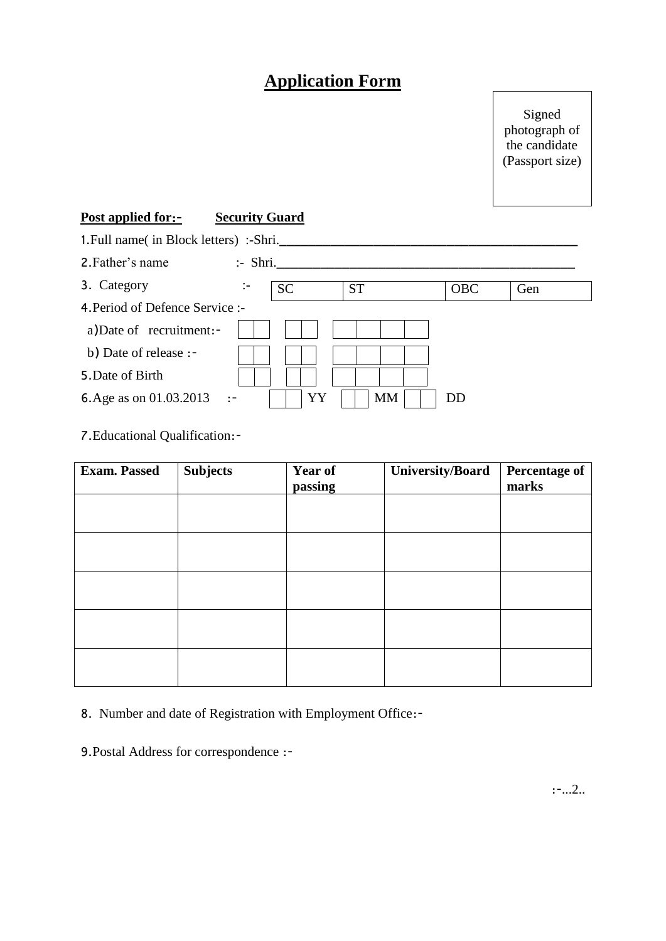# **Application Form**

Signed photograph of the candidate (Passport size)

### **Post applied for**:- **Security Guard**

| 1. Full name( in Block letters) :-Shri. |                    |           |           |            |     |
|-----------------------------------------|--------------------|-----------|-----------|------------|-----|
| 2. Father's name                        | $\therefore$ Shri. |           |           |            |     |
| 3. Category                             |                    | <b>SC</b> | <b>ST</b> | <b>OBC</b> | Gen |
| 4. Period of Defence Service :-         |                    |           |           |            |     |
| a)Date of recruitment:-                 |                    |           |           |            |     |
| b) Date of release :-                   |                    |           |           |            |     |
| 5. Date of Birth                        |                    |           |           |            |     |
| 6. Age as on 01.03.2013<br>- 17         |                    | YY        | MM        | DD         |     |

7.Educational Qualification:-

| <b>Exam. Passed</b> | <b>Subjects</b> | <b>Year of</b><br>passing | <b>University/Board</b> | <b>Percentage of</b><br>marks |
|---------------------|-----------------|---------------------------|-------------------------|-------------------------------|
|                     |                 |                           |                         |                               |
|                     |                 |                           |                         |                               |
|                     |                 |                           |                         |                               |
|                     |                 |                           |                         |                               |
|                     |                 |                           |                         |                               |

8. Number and date of Registration with Employment Office:-

9.Postal Address for correspondence :-